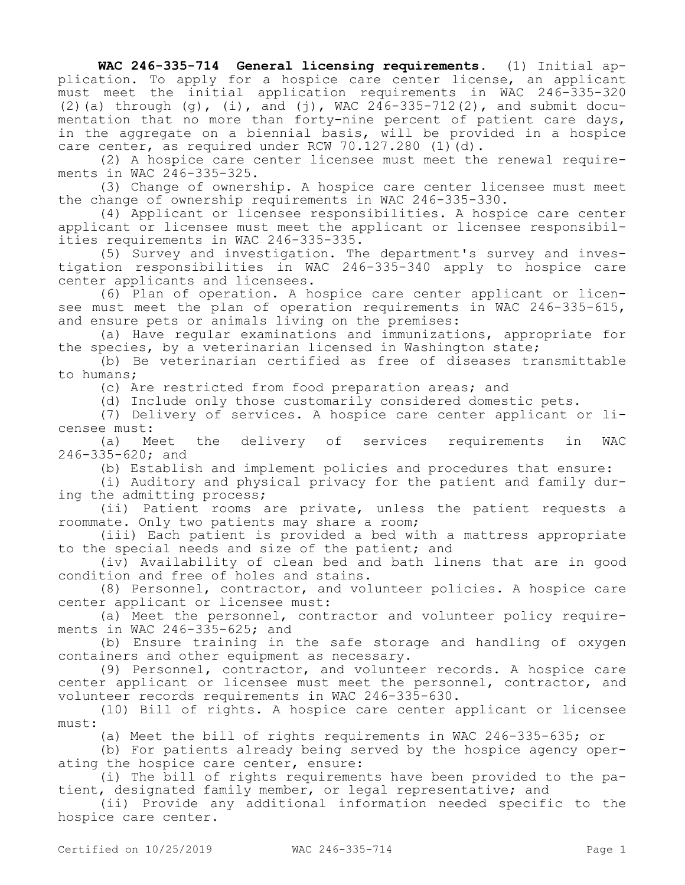**WAC 246-335-714 General licensing requirements.** (1) Initial application. To apply for a hospice care center license, an applicant must meet the initial application requirements in WAC 246-335-320 (2)(a) through (g), (i), and (j), WAC  $246-335-712(2)$ , and submit documentation that no more than forty-nine percent of patient care days, in the aggregate on a biennial basis, will be provided in a hospice care center, as required under RCW 70.127.280  $(1)(d)$ .

(2) A hospice care center licensee must meet the renewal requirements in WAC 246-335-325.

(3) Change of ownership. A hospice care center licensee must meet the change of ownership requirements in WAC 246-335-330.

(4) Applicant or licensee responsibilities. A hospice care center applicant or licensee must meet the applicant or licensee responsibilities requirements in WAC 246-335-335.

(5) Survey and investigation. The department's survey and investigation responsibilities in WAC 246-335-340 apply to hospice care center applicants and licensees.

(6) Plan of operation. A hospice care center applicant or licensee must meet the plan of operation requirements in WAC 246-335-615, and ensure pets or animals living on the premises:

(a) Have regular examinations and immunizations, appropriate for the species, by a veterinarian licensed in Washington state;

(b) Be veterinarian certified as free of diseases transmittable to humans;

(c) Are restricted from food preparation areas; and

(d) Include only those customarily considered domestic pets.

(7) Delivery of services. A hospice care center applicant or licensee must:<br>(a) Meet the

(a) Meet the delivery of services requirements in WAC 246-335-620; and

(b) Establish and implement policies and procedures that ensure:

(i) Auditory and physical privacy for the patient and family during the admitting process;

(ii) Patient rooms are private, unless the patient requests a roommate. Only two patients may share a room;

(iii) Each patient is provided a bed with a mattress appropriate to the special needs and size of the patient; and

(iv) Availability of clean bed and bath linens that are in good condition and free of holes and stains.

(8) Personnel, contractor, and volunteer policies. A hospice care center applicant or licensee must:

(a) Meet the personnel, contractor and volunteer policy requirements in WAC 246-335-625; and

(b) Ensure training in the safe storage and handling of oxygen containers and other equipment as necessary.

(9) Personnel, contractor, and volunteer records. A hospice care center applicant or licensee must meet the personnel, contractor, and volunteer records requirements in WAC 246-335-630.

(10) Bill of rights. A hospice care center applicant or licensee must:

(a) Meet the bill of rights requirements in WAC 246-335-635; or

(b) For patients already being served by the hospice agency operating the hospice care center, ensure:

(i) The bill of rights requirements have been provided to the patient, designated family member, or legal representative; and

(ii) Provide any additional information needed specific to the hospice care center.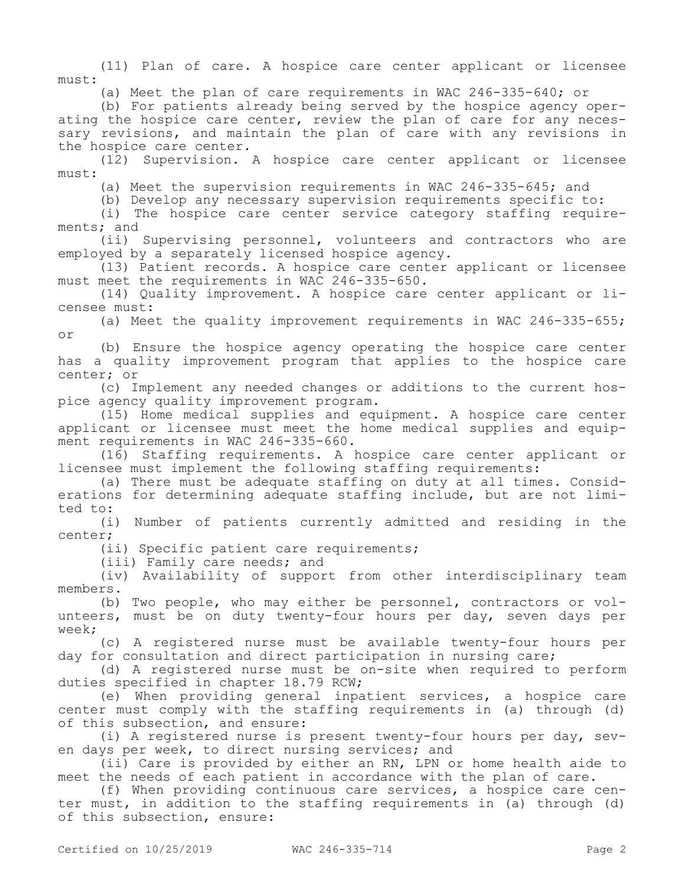(11) Plan of care. A hospice care center applicant or licensee must:

(a) Meet the plan of care requirements in WAC 246-335-640; or

(b) For patients already being served by the hospice agency operating the hospice care center, review the plan of care for any necessary revisions, and maintain the plan of care with any revisions in the hospice care center.

(12) Supervision. A hospice care center applicant or licensee must:

(a) Meet the supervision requirements in WAC 246-335-645; and

(b) Develop any necessary supervision requirements specific to:

(i) The hospice care center service category staffing requirements; and

(ii) Supervising personnel, volunteers and contractors who are employed by a separately licensed hospice agency.

(13) Patient records. A hospice care center applicant or licensee must meet the requirements in WAC 246-335-650.

(14) Quality improvement. A hospice care center applicant or licensee must:

(a) Meet the quality improvement requirements in WAC 246-335-655; or

(b) Ensure the hospice agency operating the hospice care center has a quality improvement program that applies to the hospice care center; or

(c) Implement any needed changes or additions to the current hospice agency quality improvement program.

(15) Home medical supplies and equipment. A hospice care center applicant or licensee must meet the home medical supplies and equipment requirements in WAC 246-335-660.

(16) Staffing requirements. A hospice care center applicant or licensee must implement the following staffing requirements:

(a) There must be adequate staffing on duty at all times. Considerations for determining adequate staffing include, but are not limited to:

(i) Number of patients currently admitted and residing in the center;

(ii) Specific patient care requirements;

(iii) Family care needs; and

(iv) Availability of support from other interdisciplinary team members.

(b) Two people, who may either be personnel, contractors or volunteers, must be on duty twenty-four hours per day, seven days per week;

(c) A registered nurse must be available twenty-four hours per day for consultation and direct participation in nursing care;

(d) A registered nurse must be on-site when required to perform duties specified in chapter 18.79 RCW;

(e) When providing general inpatient services, a hospice care center must comply with the staffing requirements in (a) through (d) of this subsection, and ensure:

(i) A registered nurse is present twenty-four hours per day, seven days per week, to direct nursing services; and

(ii) Care is provided by either an RN, LPN or home health aide to meet the needs of each patient in accordance with the plan of care.

(f) When providing continuous care services, a hospice care center must, in addition to the staffing requirements in (a) through (d) of this subsection, ensure: